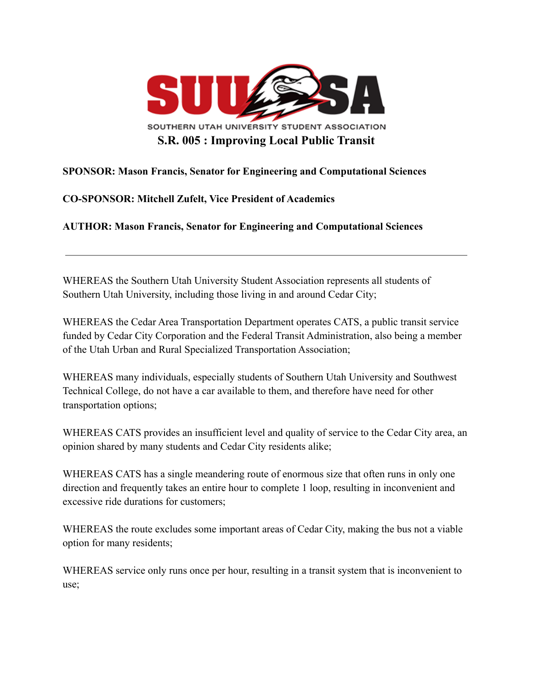

## **SPONSOR: Mason Francis, Senator for Engineering and Computational Sciences**

## **CO-SPONSOR: Mitchell Zufelt, Vice President of Academics**

**AUTHOR: Mason Francis, Senator for Engineering and Computational Sciences**

WHEREAS the Southern Utah University Student Association represents all students of Southern Utah University, including those living in and around Cedar City;

WHEREAS the Cedar Area Transportation Department operates CATS, a public transit service funded by Cedar City Corporation and the Federal Transit Administration, also being a member of the Utah Urban and Rural Specialized Transportation Association;

WHEREAS many individuals, especially students of Southern Utah University and Southwest Technical College, do not have a car available to them, and therefore have need for other transportation options;

WHEREAS CATS provides an insufficient level and quality of service to the Cedar City area, an opinion shared by many students and Cedar City residents alike;

WHEREAS CATS has a single meandering route of enormous size that often runs in only one direction and frequently takes an entire hour to complete 1 loop, resulting in inconvenient and excessive ride durations for customers;

WHEREAS the route excludes some important areas of Cedar City, making the bus not a viable option for many residents;

WHEREAS service only runs once per hour, resulting in a transit system that is inconvenient to use;